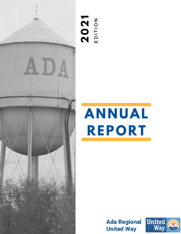

#### **2 0 2 1**  $\mathbf \mu$ D I T I O<br>D I T I Z

# **ANNUAL REPORT**

**Ada Regional United Way** 

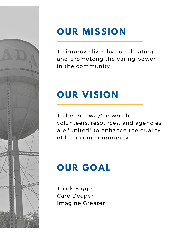

# **OUR MISSION**

To improve lives by coordinating and promotong the caring power in the community

# **OUR VISION**

To be the "way" in which volunteers, resources, and agencies are "united" to enhance the quality of life in our community

# **OUR GOAL**

Think Bigger Care Deeper Imagine Greater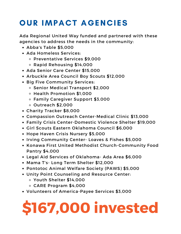### **OUR IMPACT AGENCIES**

Ada Regional United Way funded and partnered with these agencies to address the needs in the community:

- Abba's Table \$5,000
- Ada Homeless Services:
	- Preventative Services \$9,000
	- Rapid Rehousing \$14,000
- Ada Senior Care Center \$15,000
- Arbuckle Area Council Boy Scouts \$12,000
- Big Five Community Services:
	- o Senior Medical Transport \$2,000
	- Health Promotion \$1,000
	- Family Caregiver Support \$3,000
	- Outreach \$2,000
- Charity Tracker \$8,000
- Compassion Outreach Center-Medical Clinic \$13,000
- Family Crisis Center-Domestic Violence Shelter \$19,000
- Girl Scouts Eastern Oklahoma Council \$6,000
- Hope Haven Crisis Nursery \$5,000
- Irving Community Center- Loaves & Fishes \$5,000
- Konawa First United Methodist Church-Community Food Pantry \$4,000
- Legal Aid Services of Oklahoma- Ada Area \$6,000
- Mama T's- Long Term Shelter \$12,000
- Pontotoc Animal Welfare Society (PAWS) \$5,000
- Unity Point Counseling and Resource Center:
	- Youth Shelter \$14,000
	- CARE Program \$4,000
- Volunteers of America-Payee Services \$3,000

# **\$167,000 invested**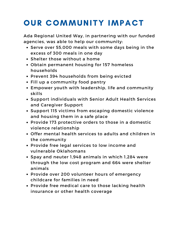### OUR COMMUNITY IMPACT

Ada Regional United Way, in partnering with our funded agencies, was able to help our community:

- Serve over 55,000 meals with some days being in the excess of 300 meals in one day
- Shelter those without a home
- Obtain permanent housing for 157 homeless households
- Prevent 394 households from being evicted
- Fill up a community food pantry
- Empower youth with leadership, life and community skills
- Support individuals with Senior Adult Health Services and Caregiver Support
- Support 115 victims from escaping domestic violence and housing them in a safe place
- Provide 173 protective orders to those in a domestic violence relationship
- Offer mental health services to adults and children in the community
- Provide free legal services to low income and vulnerable Oklahomans
- Spay and neuter 1,948 animals in which 1,284 were through the low cost program and 664 were shelter animals
- Provide over 200 volunteer hours of emergency childcare for families in need
- Provide free medical care to those lacking health insurance or other health coverage